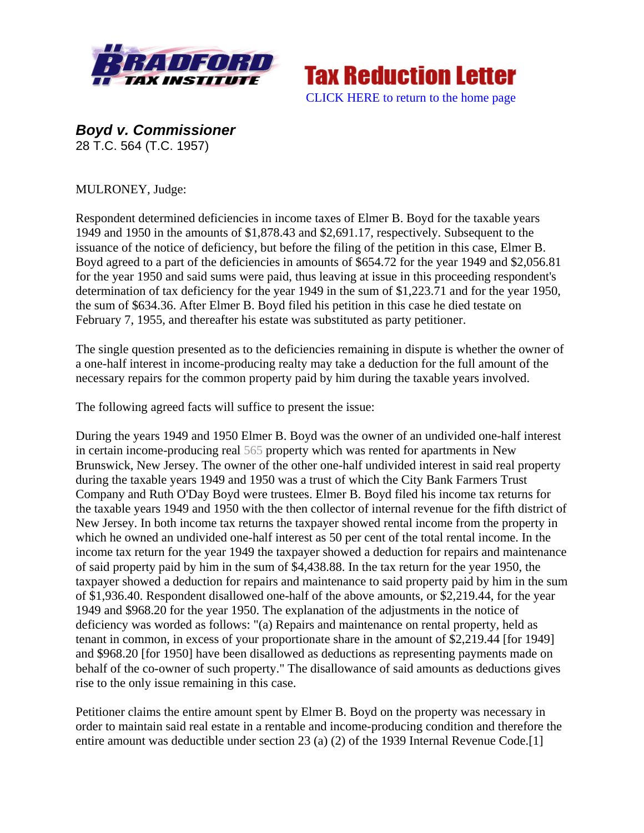



*Boyd v. Commissioner*  28 T.C. 564 (T.C. 1957)

MULRONEY, Judge:

Respondent determined deficiencies in income taxes of Elmer B. Boyd for the taxable years 1949 and 1950 in the amounts of \$1,878.43 and \$2,691.17, respectively. Subsequent to the issuance of the notice of deficiency, but before the filing of the petition in this case, Elmer B. Boyd agreed to a part of the deficiencies in amounts of \$654.72 for the year 1949 and \$2,056.81 for the year 1950 and said sums were paid, thus leaving at issue in this proceeding respondent's determination of tax deficiency for the year 1949 in the sum of \$1,223.71 and for the year 1950, the sum of \$634.36. After Elmer B. Boyd filed his petition in this case he died testate on February 7, 1955, and thereafter his estate was substituted as party petitioner.

The single question presented as to the deficiencies remaining in dispute is whether the owner of a one-half interest in income-producing realty may take a deduction for the full amount of the necessary repairs for the common property paid by him during the taxable years involved.

The following agreed facts will suffice to present the issue:

During the years 1949 and 1950 Elmer B. Boyd was the owner of an undivided one-half interest in certain income-producing real 565 property which was rented for apartments in New Brunswick, New Jersey. The owner of the other one-half undivided interest in said real property during the taxable years 1949 and 1950 was a trust of which the City Bank Farmers Trust Company and Ruth O'Day Boyd were trustees. Elmer B. Boyd filed his income tax returns for the taxable years 1949 and 1950 with the then collector of internal revenue for the fifth district of New Jersey. In both income tax returns the taxpayer showed rental income from the property in which he owned an undivided one-half interest as 50 per cent of the total rental income. In the income tax return for the year 1949 the taxpayer showed a deduction for repairs and maintenance of said property paid by him in the sum of \$4,438.88. In the tax return for the year 1950, the taxpayer showed a deduction for repairs and maintenance to said property paid by him in the sum of \$1,936.40. Respondent disallowed one-half of the above amounts, or \$2,219.44, for the year 1949 and \$968.20 for the year 1950. The explanation of the adjustments in the notice of deficiency was worded as follows: "(a) Repairs and maintenance on rental property, held as tenant in common, in excess of your proportionate share in the amount of \$2,219.44 [for 1949] and \$968.20 [for 1950] have been disallowed as deductions as representing payments made on behalf of the co-owner of such property." The disallowance of said amounts as deductions gives rise to the only issue remaining in this case.

Petitioner claims the entire amount spent by Elmer B. Boyd on the property was necessary in order to maintain said real estate in a rentable and income-producing condition and therefore the entire amount was deductible under section 23 (a) (2) of the 1939 Internal Revenue Code.[1]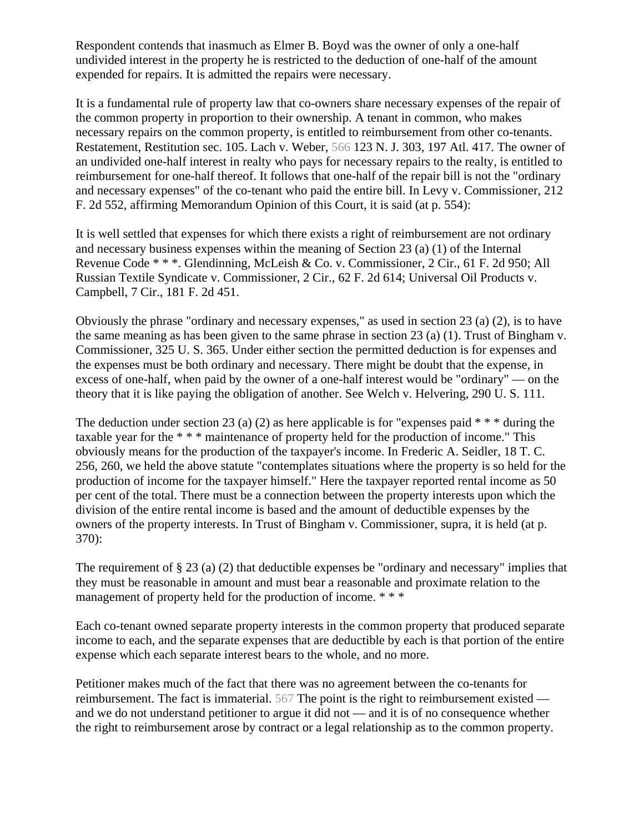Respondent contends that inasmuch as Elmer B. Boyd was the owner of only a one-half undivided interest in the property he is restricted to the deduction of one-half of the amount expended for repairs. It is admitted the repairs were necessary.

It is a fundamental rule of property law that co-owners share necessary expenses of the repair of the common property in proportion to their ownership. A tenant in common, who makes necessary repairs on the common property, is entitled to reimbursement from other co-tenants. Restatement, Restitution sec. 105. Lach v. Weber, 566 123 N. J. 303, 197 Atl. 417. The owner of an undivided one-half interest in realty who pays for necessary repairs to the realty, is entitled to reimbursement for one-half thereof. It follows that one-half of the repair bill is not the "ordinary and necessary expenses" of the co-tenant who paid the entire bill. In Levy v. Commissioner, 212 F. 2d 552, affirming Memorandum Opinion of this Court, it is said (at p. 554):

It is well settled that expenses for which there exists a right of reimbursement are not ordinary and necessary business expenses within the meaning of Section 23 (a) (1) of the Internal Revenue Code \* \* \*. Glendinning, McLeish & Co. v. Commissioner, 2 Cir., 61 F. 2d 950; All Russian Textile Syndicate v. Commissioner, 2 Cir., 62 F. 2d 614; Universal Oil Products v. Campbell, 7 Cir., 181 F. 2d 451.

Obviously the phrase "ordinary and necessary expenses," as used in section 23 (a) (2), is to have the same meaning as has been given to the same phrase in section 23 (a) (1). Trust of Bingham v. Commissioner, 325 U. S. 365. Under either section the permitted deduction is for expenses and the expenses must be both ordinary and necessary. There might be doubt that the expense, in excess of one-half, when paid by the owner of a one-half interest would be "ordinary" — on the theory that it is like paying the obligation of another. See Welch v. Helvering, 290 U. S. 111.

The deduction under section 23 (a) (2) as here applicable is for "expenses paid  $***$  during the taxable year for the \* \* \* maintenance of property held for the production of income." This obviously means for the production of the taxpayer's income. In Frederic A. Seidler, 18 T. C. 256, 260, we held the above statute "contemplates situations where the property is so held for the production of income for the taxpayer himself." Here the taxpayer reported rental income as 50 per cent of the total. There must be a connection between the property interests upon which the division of the entire rental income is based and the amount of deductible expenses by the owners of the property interests. In Trust of Bingham v. Commissioner, supra, it is held (at p. 370):

The requirement of § 23 (a) (2) that deductible expenses be "ordinary and necessary" implies that they must be reasonable in amount and must bear a reasonable and proximate relation to the management of property held for the production of income. \*\*\*

Each co-tenant owned separate property interests in the common property that produced separate income to each, and the separate expenses that are deductible by each is that portion of the entire expense which each separate interest bears to the whole, and no more.

Petitioner makes much of the fact that there was no agreement between the co-tenants for reimbursement. The fact is immaterial. 567 The point is the right to reimbursement existed and we do not understand petitioner to argue it did not — and it is of no consequence whether the right to reimbursement arose by contract or a legal relationship as to the common property.